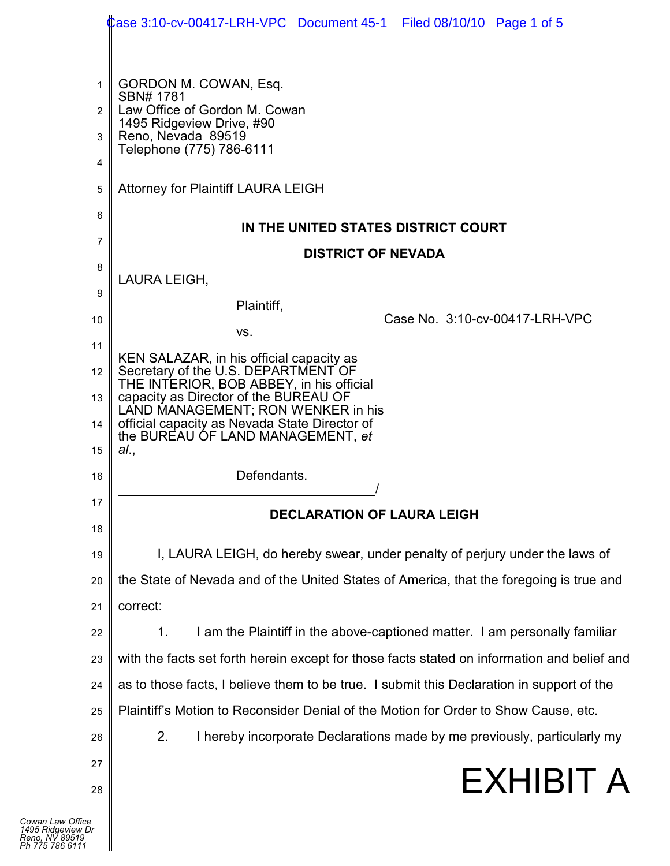|                                     | Case 3:10-cv-00417-LRH-VPC Document 45-1   Filed 08/10/10   Page 1 of 5                                                                            |
|-------------------------------------|----------------------------------------------------------------------------------------------------------------------------------------------------|
| 1<br>2<br>3<br>4                    | GORDON M. COWAN, Esq.<br>SBN# 1781<br>Law Office of Gordon M. Cowan<br>1495 Ridgeview Drive, #90<br>Reno, Nevada 89519<br>Telephone (775) 786-6111 |
| 5                                   | <b>Attorney for Plaintiff LAURA LEIGH</b>                                                                                                          |
| 6<br>$\overline{7}$                 | IN THE UNITED STATES DISTRICT COURT                                                                                                                |
| 8                                   | <b>DISTRICT OF NEVADA</b>                                                                                                                          |
| 9                                   | LAURA LEIGH,                                                                                                                                       |
| 10                                  | Plaintiff,<br>Case No. 3:10-cv-00417-LRH-VPC                                                                                                       |
| 11                                  | VS.                                                                                                                                                |
| 12                                  | KEN SALAZAR, in his official capacity as<br>Secretary of the U.S. DEPARTMENT OF                                                                    |
| 13                                  | THE INTERIOR, BOB ABBEY, in his official<br>capacity as Director of the BUREAU OF                                                                  |
| 14                                  | LAND MANAGEMENT; RON WENKER in his<br>official capacity as Nevada State Director of                                                                |
| 15                                  | the BUREAU OF LAND MANAGEMENT, et<br>al.,                                                                                                          |
| 16                                  | Defendants.                                                                                                                                        |
| 17                                  |                                                                                                                                                    |
| 18                                  | <b>DECLARATION OF LAURA LEIGH</b>                                                                                                                  |
| 19                                  | I, LAURA LEIGH, do hereby swear, under penalty of perjury under the laws of                                                                        |
| 20                                  | the State of Nevada and of the United States of America, that the foregoing is true and                                                            |
| 21                                  | correct:                                                                                                                                           |
| 22                                  | I am the Plaintiff in the above-captioned matter. I am personally familiar<br>1.                                                                   |
| 23                                  | with the facts set forth herein except for those facts stated on information and belief and                                                        |
| 24                                  | as to those facts, I believe them to be true. I submit this Declaration in support of the                                                          |
| 25                                  | Plaintiff's Motion to Reconsider Denial of the Motion for Order to Show Cause, etc.                                                                |
| 26                                  | 2.<br>I hereby incorporate Declarations made by me previously, particularly my                                                                     |
| 27                                  | <b>EXHIBIT A</b>                                                                                                                                   |
| 28                                  |                                                                                                                                                    |
| fice<br><sub>N</sub> Dr<br>19<br>11 |                                                                                                                                                    |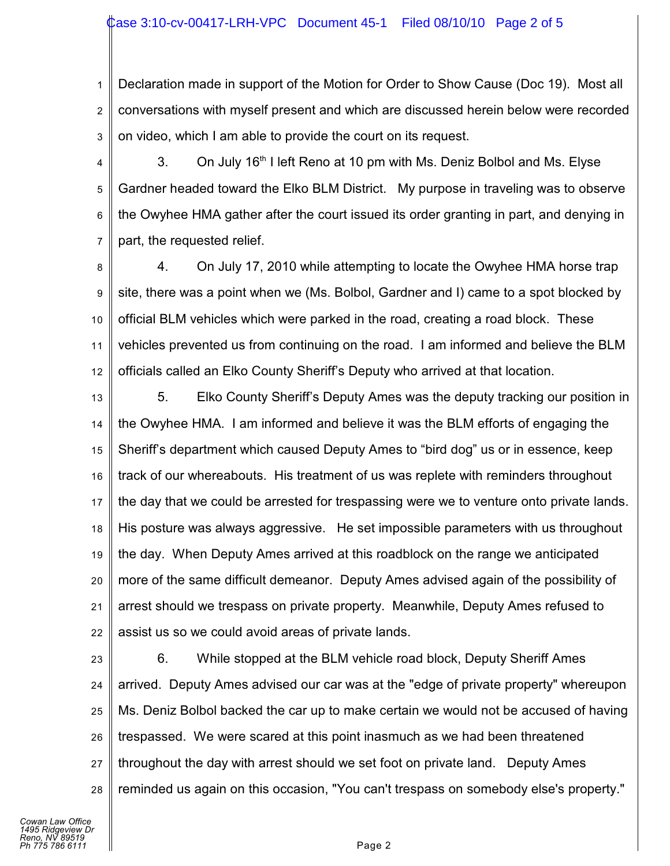## Case 3:10-cv-00417-LRH-VPC Document 45-1 Filed 08/10/10 Page 2 of 5

1 2 3 Declaration made in support of the Motion for Order to Show Cause (Doc 19). Most all conversations with myself present and which are discussed herein below were recorded on video, which I am able to provide the court on its request.

4 5 6 7 3. On July 16<sup>th</sup> I left Reno at 10 pm with Ms. Deniz Bolbol and Ms. Elyse Gardner headed toward the Elko BLM District. My purpose in traveling was to observe the Owyhee HMA gather after the court issued its order granting in part, and denying in part, the requested relief.

8 9 10 11 12 4. On July 17, 2010 while attempting to locate the Owyhee HMA horse trap site, there was a point when we (Ms. Bolbol, Gardner and I) came to a spot blocked by official BLM vehicles which were parked in the road, creating a road block. These vehicles prevented us from continuing on the road. I am informed and believe the BLM officials called an Elko County Sheriff's Deputy who arrived at that location.

13 14 15 16 17 18 19 20 21 22 5. Elko County Sheriff's Deputy Ames was the deputy tracking our position in the Owyhee HMA. I am informed and believe it was the BLM efforts of engaging the Sheriff's department which caused Deputy Ames to "bird dog" us or in essence, keep track of our whereabouts. His treatment of us was replete with reminders throughout the day that we could be arrested for trespassing were we to venture onto private lands. His posture was always aggressive. He set impossible parameters with us throughout the day. When Deputy Ames arrived at this roadblock on the range we anticipated more of the same difficult demeanor. Deputy Ames advised again of the possibility of arrest should we trespass on private property. Meanwhile, Deputy Ames refused to assist us so we could avoid areas of private lands.

23 24 25 26 27 28 6. While stopped at the BLM vehicle road block, Deputy Sheriff Ames arrived. Deputy Ames advised our car was at the "edge of private property" whereupon Ms. Deniz Bolbol backed the car up to make certain we would not be accused of having trespassed. We were scared at this point inasmuch as we had been threatened throughout the day with arrest should we set foot on private land. Deputy Ames reminded us again on this occasion, "You can't trespass on somebody else's property."

*Cowan Law Office 1495 Ridgeview Dr Reno, NV 89519 Ph 775 786 6111* Page 2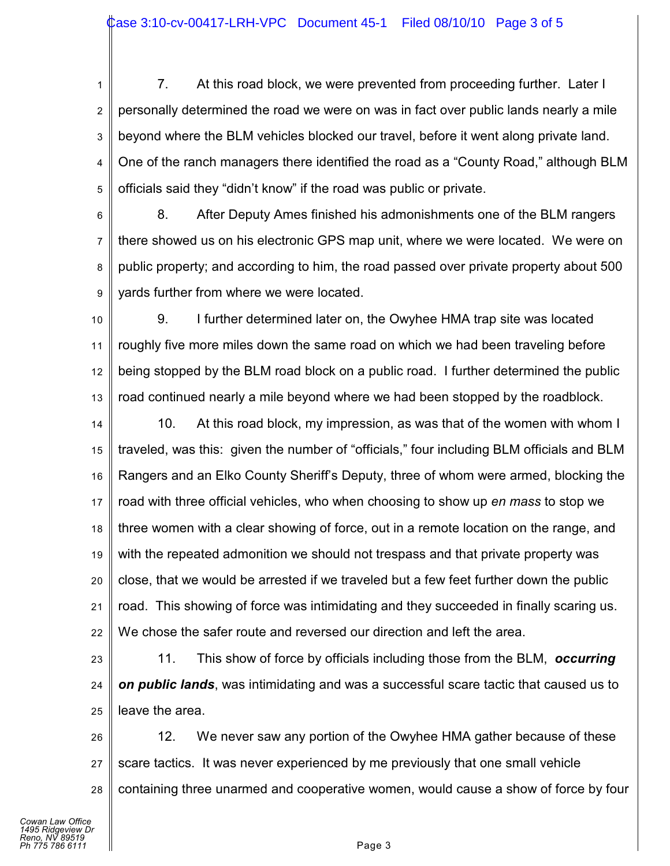1 2 3 4 5 7. At this road block, we were prevented from proceeding further. Later I personally determined the road we were on was in fact over public lands nearly a mile beyond where the BLM vehicles blocked our travel, before it went along private land. One of the ranch managers there identified the road as a "County Road," although BLM officials said they "didn't know" if the road was public or private.

6 7 8 9 8. After Deputy Ames finished his admonishments one of the BLM rangers there showed us on his electronic GPS map unit, where we were located. We were on public property; and according to him, the road passed over private property about 500 yards further from where we were located.

10 11 12 13 9. I further determined later on, the Owyhee HMA trap site was located roughly five more miles down the same road on which we had been traveling before being stopped by the BLM road block on a public road. I further determined the public road continued nearly a mile beyond where we had been stopped by the roadblock.

14 15 16 17 18 19 20 21 22 10. At this road block, my impression, as was that of the women with whom I traveled, was this: given the number of "officials," four including BLM officials and BLM Rangers and an Elko County Sheriff's Deputy, three of whom were armed, blocking the road with three official vehicles, who when choosing to show up *en mass* to stop we three women with a clear showing of force, out in a remote location on the range, and with the repeated admonition we should not trespass and that private property was close, that we would be arrested if we traveled but a few feet further down the public road. This showing of force was intimidating and they succeeded in finally scaring us. We chose the safer route and reversed our direction and left the area.

23 24 25 11. This show of force by officials including those from the BLM, *occurring on public lands*, was intimidating and was a successful scare tactic that caused us to leave the area.

26 27 28 12. We never saw any portion of the Owyhee HMA gather because of these scare tactics. It was never experienced by me previously that one small vehicle containing three unarmed and cooperative women, would cause a show of force by four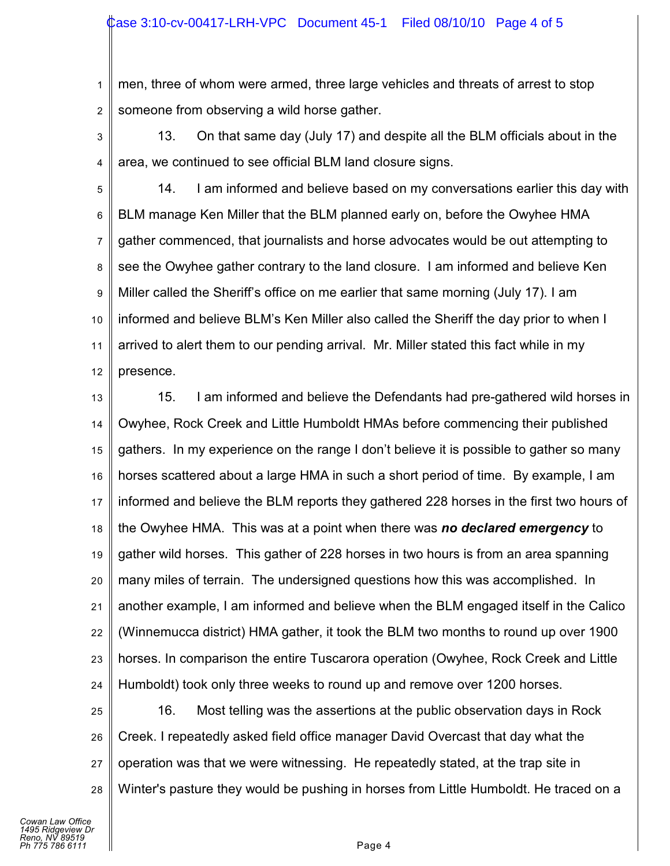1 2 men, three of whom were armed, three large vehicles and threats of arrest to stop someone from observing a wild horse gather.

3 4 13. On that same day (July 17) and despite all the BLM officials about in the area, we continued to see official BLM land closure signs.

5 6 7 8 9 10 11 12 14. I am informed and believe based on my conversations earlier this day with BLM manage Ken Miller that the BLM planned early on, before the Owyhee HMA gather commenced, that journalists and horse advocates would be out attempting to see the Owyhee gather contrary to the land closure. I am informed and believe Ken Miller called the Sheriff's office on me earlier that same morning (July 17). I am informed and believe BLM's Ken Miller also called the Sheriff the day prior to when I arrived to alert them to our pending arrival. Mr. Miller stated this fact while in my presence.

13 14 15 16 17 18 19 20 21 22 23 24 15. I am informed and believe the Defendants had pre-gathered wild horses in Owyhee, Rock Creek and Little Humboldt HMAs before commencing their published gathers. In my experience on the range I don't believe it is possible to gather so many horses scattered about a large HMA in such a short period of time. By example, I am informed and believe the BLM reports they gathered 228 horses in the first two hours of the Owyhee HMA. This was at a point when there was *no declared emergency* to gather wild horses. This gather of 228 horses in two hours is from an area spanning many miles of terrain. The undersigned questions how this was accomplished. In another example, I am informed and believe when the BLM engaged itself in the Calico (Winnemucca district) HMA gather, it took the BLM two months to round up over 1900 horses. In comparison the entire Tuscarora operation (Owyhee, Rock Creek and Little Humboldt) took only three weeks to round up and remove over 1200 horses.

25 26 27 28 16. Most telling was the assertions at the public observation days in Rock Creek. I repeatedly asked field office manager David Overcast that day what the operation was that we were witnessing. He repeatedly stated, at the trap site in Winter's pasture they would be pushing in horses from Little Humboldt. He traced on a